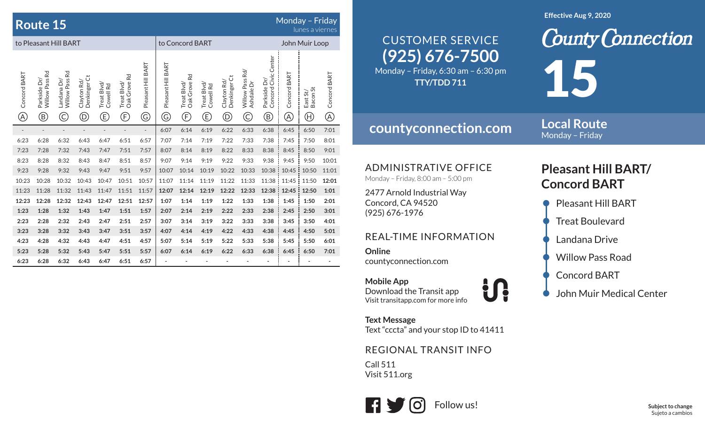|                               | <b>Route 15</b>                                |                                                                         |                                              |                                                                         |                                   |                                    |                                    |                                    |                                                                         |                                              |                                                                                                                                                                                                                                                                                                                                                                                                                                                           |                                                      |                             | Monday - Friday<br>lunes a viernes                     |                              |  |
|-------------------------------|------------------------------------------------|-------------------------------------------------------------------------|----------------------------------------------|-------------------------------------------------------------------------|-----------------------------------|------------------------------------|------------------------------------|------------------------------------|-------------------------------------------------------------------------|----------------------------------------------|-----------------------------------------------------------------------------------------------------------------------------------------------------------------------------------------------------------------------------------------------------------------------------------------------------------------------------------------------------------------------------------------------------------------------------------------------------------|------------------------------------------------------|-----------------------------|--------------------------------------------------------|------------------------------|--|
| to Pleasant Hill BART         |                                                |                                                                         |                                              |                                                                         |                                   |                                    | to Concord BART                    |                                    |                                                                         |                                              |                                                                                                                                                                                                                                                                                                                                                                                                                                                           |                                                      | John Muir Loop              |                                                        |                              |  |
| Concord BART<br>$^\copyright$ | Willow Pass Rd<br>Parkside Dr/<br>$^\circledR$ | Willow Pass Rd<br>Landana Dr/<br>$\mathbb{C}% _{0}^{X\left( t\right) }$ | Denkinger Ct<br>Clayton Rd/<br>$^\copyright$ | Treat Blvd/<br>Cowell Rd<br>$\mathbb{G}% _{M_{1},M_{2}}^{\alpha,\beta}$ | Oak Grove Rd<br>Treat Blvd/<br>F) | Pleasant Hill BART<br>$\copyright$ | Pleasant Hill BART<br>$\copyright$ | Oak Grove Rd<br>Treat Blvd/<br>(F) | Treat Blvd/<br>Cowell Rd<br>$\mathbb{G}% _{M_{1},M_{2}}^{\alpha,\beta}$ | Denkinger Ct<br>Clayton Rd/<br>$^\copyright$ | Willow Pass Rd/<br>Ashdale Dr<br>$\mathbb{C}% _{0}^{1,1}\times\mathbb{C}_{0}^{1,1}\times\mathbb{C}_{0}^{1,1}\times\mathbb{C}_{0}^{1,1}% \times\mathbb{C}_{0}^{1,1}% \times\mathbb{C}_{0}^{1,1}% \times\mathbb{C}_{0}^{1,1}% \times\mathbb{C}_{0}^{1,1}% \times\mathbb{C}_{0}^{1,1}% \times\mathbb{C}_{0}^{1,1}% \times\mathbb{C}_{0}^{1,1}% \times\mathbb{C}_{0}^{1,1}% \times\mathbb{C}_{0}^{1,1}% \times\mathbb{C}_{0}^{1,1}% \times\mathbb{C}_{0}^{1,$ | Concord Civic Center<br>Parkside Dr/<br>$^\circledR$ | Concord BART<br>$\circledA$ | Bacon St<br>East St/<br>$\textcircled{\scriptsize{H}}$ | Concord BART<br>$^\circledR$ |  |
|                               | $\overline{\phantom{a}}$                       | $\overline{a}$                                                          | $\overline{a}$                               | $\overline{\phantom{m}}$                                                | $\overline{a}$                    | $\overline{\phantom{a}}$           | 6:07                               | 6:14                               | 6:19                                                                    | 6:22                                         | 6:33                                                                                                                                                                                                                                                                                                                                                                                                                                                      | 6:38                                                 | 6:45                        | 6:50                                                   | 7:01                         |  |
| 6:23                          | 6:28                                           | 6:32                                                                    | 6:43                                         | 6:47                                                                    | 6:51                              | 6:57                               | 7:07                               | 7:14                               | 7:19                                                                    | 7:22                                         | 7:33                                                                                                                                                                                                                                                                                                                                                                                                                                                      | 7:38                                                 | 7:45                        | 7:50                                                   | 8:01                         |  |
| 7:23                          | 7:28                                           | 7:32                                                                    | 7:43                                         | 7:47                                                                    | 7:51                              | 7:57                               | 8:07                               | 8:14                               | 8:19                                                                    | 8:22                                         | 8:33                                                                                                                                                                                                                                                                                                                                                                                                                                                      | 8:38                                                 | 8:45                        | 8:50                                                   | 9:01                         |  |
| 8:23                          | 8:28                                           | 8:32                                                                    | 8:43                                         | 8:47                                                                    | 8:51                              | 8:57                               | 9:07                               | 9:14                               | 9:19                                                                    | 9:22                                         | 9:33                                                                                                                                                                                                                                                                                                                                                                                                                                                      | 9:38                                                 | 9:45                        | 9:50                                                   | 10:01                        |  |
| 9:23                          | 9:28                                           | 9:32                                                                    | 9:43                                         | 9:47                                                                    | 9:51                              | 9:57                               | 10:07                              | 10:14                              | 10:19                                                                   | 10:22                                        | 10:33                                                                                                                                                                                                                                                                                                                                                                                                                                                     | 10:38                                                | 10:45                       | 10:50                                                  | 11:01                        |  |
| 10:23                         | 10:28                                          | 10:32                                                                   | 10:43                                        | 10:47                                                                   | 10:51                             | 10:57                              | 11:07                              | 11:14                              | 11:19                                                                   | 11:22                                        | 11:33                                                                                                                                                                                                                                                                                                                                                                                                                                                     | 11:38                                                | 11:45                       | 11:50                                                  | 12:01                        |  |
| 11:23                         | 11:28                                          | 11:32                                                                   | 11:43                                        | 11:47                                                                   | 11:51                             | 11:57                              | 12:07                              | 12:14                              | 12:19                                                                   | 12:22                                        | 12:33                                                                                                                                                                                                                                                                                                                                                                                                                                                     | 12:38                                                | 12:45                       | 12:50                                                  | 1:01                         |  |
| 12:23                         | 12:28                                          | 12:32                                                                   | 12:43                                        | 12:47                                                                   | 12:51                             | 12:57                              | 1:07                               | 1:14                               | 1:19                                                                    | 1:22                                         | 1:33                                                                                                                                                                                                                                                                                                                                                                                                                                                      | 1:38                                                 | 1:45                        | 1:50                                                   | 2:01                         |  |
| 1:23                          | 1:28                                           | 1:32                                                                    | 1:43                                         | 1:47                                                                    | 1:51                              | 1:57                               | 2:07                               | 2:14                               | 2:19                                                                    | 2:22                                         | 2:33                                                                                                                                                                                                                                                                                                                                                                                                                                                      | 2:38                                                 | 2:45                        | 2:50                                                   | 3:01                         |  |
| 2:23                          | 2:28                                           | 2:32                                                                    | 2:43                                         | 2:47                                                                    | 2:51                              | 2:57                               | 3:07                               | 3:14                               | 3:19                                                                    | 3:22                                         | 3:33                                                                                                                                                                                                                                                                                                                                                                                                                                                      | 3:38                                                 | 3:45                        | 3:50                                                   | 4:01                         |  |
| 3:23                          | 3:28                                           | 3:32                                                                    | 3:43                                         | 3:47                                                                    | 3:51                              | 3:57                               | 4:07                               | 4:14                               | 4:19                                                                    | 4:22                                         | 4:33                                                                                                                                                                                                                                                                                                                                                                                                                                                      | 4:38                                                 | 4:45                        | 4:50                                                   | 5:01                         |  |
| 4:23                          | 4:28                                           | 4:32                                                                    | 4:43                                         | 4:47                                                                    | 4:51                              | 4:57                               | 5:07                               | 5:14                               | 5:19                                                                    | 5:22                                         | 5:33                                                                                                                                                                                                                                                                                                                                                                                                                                                      | 5:38                                                 | 5:45                        | 5:50                                                   | 6:01                         |  |
| 5:23                          | 5:28                                           | 5:32                                                                    | 5:43                                         | 5:47                                                                    | 5:51                              | 5:57                               | 6:07                               | 6:14                               | 6:19                                                                    | 6:22                                         | 6:33                                                                                                                                                                                                                                                                                                                                                                                                                                                      | 6:38                                                 | 6:45                        | 6:50                                                   | 7:01                         |  |
| 6:23                          | 6:28                                           | 6:32                                                                    | 6:43                                         | 6:47                                                                    | 6:51                              | 6:57                               |                                    |                                    |                                                                         |                                              |                                                                                                                                                                                                                                                                                                                                                                                                                                                           |                                                      |                             |                                                        |                              |  |

#### **Effective Aug 9, 2020**

## **(925) 676-7500** Monday – Friday, 6:30 am – 6:30 pm CUSTOMER SERVICE

**TTY/TDD 711**

**countyconnection.com**

### **Local Route**Monday – Friday

15

ADMINISTRATIVE OFFICE

Monday – Friday, 8:00 am – 5:00 pm

2477 Arnold Industrial Way Concord, CA 94520 (925) 676-1976

### REAL-TIME INFORMATION

**Online**countyconnection.com

**Mobile App** Download the Transit app Visit transitapp.com for more info

**Text Message** Text "cccta" and your stop ID to 41411

REGIONAL TRANSIT INFO

Call 511Visit 511.org



# **Pleasant Hill BART/ Concord BART**

**County Connection** 

- Pleasant Hill BART
- **Treat Boulevard**
- Landana Drive
- Willow Pass Road
- Concord BART
- John Muir Medical Center